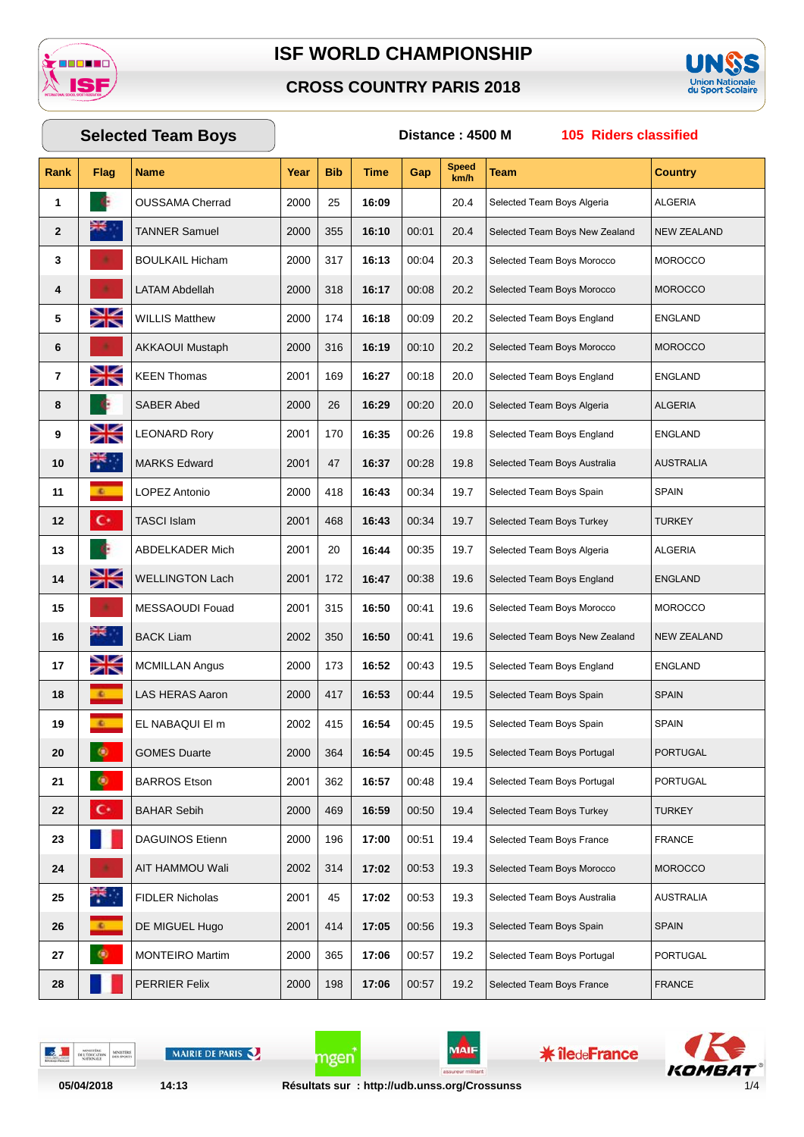





# **Rank Flag Name Year Bib Time Gap Speed km/h Team Country Selected Team Boys Distance : 4500 M 105 Riders classified** OUSSAMA Cherrad 2000 25 **16:09** 20.4 Selected Team Boys Algeria ALGERIA **TANNER Samuel 2000** 355 **16:10** 00:01 20.4 Selected Team Boys New Zealand NEW ZEALAND BOULKAIL Hicham 2000 317 **16:13** 00:04 20.3 Selected Team Boys Morocco MOROCCO LATAM Abdellah 2000 318 **16:17** 00:08 20.2 Selected Team Boys Morocco MOROCCO WILLIS Matthew 2000 174 16:18 00:09 20.2 Selected Team Boys England ENGLAND AKKAOUI Mustaph 2000 316 **16:19** 00:10 20.2 Selected Team Boys Morocco MOROCCO **KEEN Thomas** 2001 169 **16:27** 00:18 20.0 Selected Team Boys England ENGLAND SABER Abed 2000 26 **16:29** 00:20 20.0 Selected Team Boys Algeria ALGERIA LEONARD Rory 2001 170 16:35 00:26 19.8 Selected Team Boys England ENGLAND MARKS Edward 2001 47 **16:37** 00:28 19.8 Selected Team Boys Australia AUSTRALIA **LOPEZ** Antonio 2000 418 **16:43** 00:34 19.7 Selected Team Boys Spain SPAIN TASCI Islam 2001 468 **16:43** 00:34 19.7 Selected Team Boys Turkey TURKEY **ABDELKADER Mich** 2001 20 **16:44** 00:35 19.7 Selected Team Boys Algeria ALGERIA 14 WELLINGTON Lach 2001 | 172 | 16:47 | 00:38 | 19.6 Selected Team Boys England ENGLAND MESSAOUDI Fouad 2001 315 **16:50** 00:41 19.6 Selected Team Boys Morocco MOROCCO BACK Liam 2002 350 **16:50** 00:41 19.6 Selected Team Boys New Zealand NEW ZEALAND 17 MCMILLAN Angus 2000 173 16:52 00:43 19.5 Selected Team Boys England ENGLAND LAS HERAS Aaron 2000 417 16:53 00:44 19.5 Selected Team Boys Spain SPAIN EL NABAQUI El m 2002 | 415 | **16:54** | 00:45 | 19.5 | Selected Team Boys Spain SPAIN GOMES Duarte 2000 364 **16:54** 00:45 19.5 Selected Team Boys Portugal PORTUGAL BARROS Etson 2001 362 **16:57** 00:48 19.4 Selected Team Boys Portugal PORTUGAL **C** BAHAR Sebih 2000 469 **16:59** 00:50 19.4 Selected Team Boys Turkey TURKEY DAGUINOS Etienn 2000 196 | 17:00 0.51 | 19.4 Selected Team Boys France | FRANCE AIT HAMMOU Wali 2002 314 **17:02** 00:53 19.3 Selected Team Boys Morocco MOROCCO **FIDLER Nicholas** 2001 45 **17:02** 00:53 19.3 Selected Team Boys Australia AUSTRALIA DE MIGUEL Hugo 2001 | 414 | **17:05** | 00:56 | 19.3 Selected Team Boys Spain SPAIN MONTEIRO Martim 2000 365 **17:06** 00:57 19.2 Selected Team Boys Portugal PORTUGAL PERRIER Felix 2000 198 | **17:06** 00:57 | 19.2 Selected Team Boys France FRANCE

DELTO

MAIRIE DE PARIS

MAIF

mgen

**\* îledeFrance** 

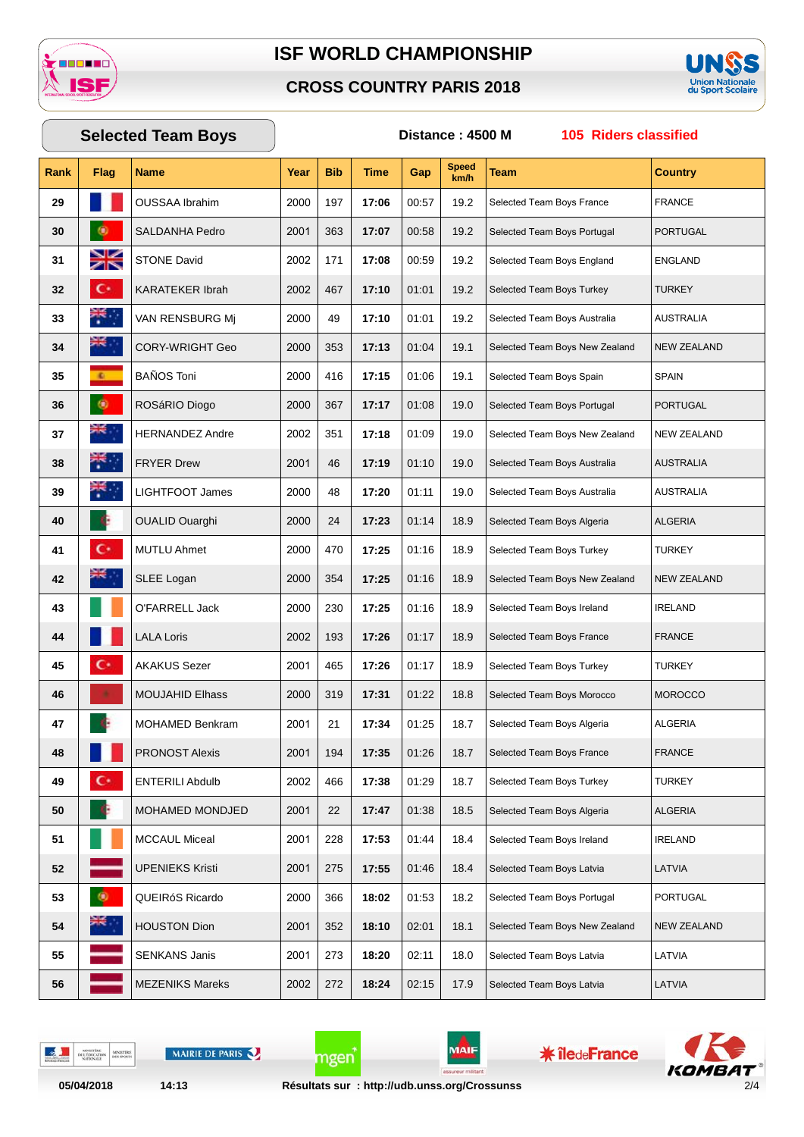

### **CROSS COUNTRY PARIS 2018**



# **Rank Flag Name Year Bib Time Gap Speed km/h Team Country Selected Team Boys Distance : 4500 M 105 Riders classified** OUSSAA Ibrahim 2000 197 **17:06** 00:57 19.2 Selected Team Boys France FRANCE SALDANHA Pedro 2001 363 **17:07** 00:58 19.2 Selected Team Boys Portugal PORTUGAL STONE David 2002 171 17:08 00:59 19.2 Selected Team Boys England ENGLAND KARATEKER Ibrah 2002 467 17:10 01:01 19.2 Selected Team Boys Turkey TURKEY VAN RENSBURG Mj 2000 49 17:10 01:01 19.2 Selected Team Boys Australia AUSTRALIA CORY-WRIGHT Geo 2000 353 17:13 01:04 19.1 Selected Team Boys New Zealand NEW ZEALAND BAÑOS Toni 2000 416 17:15 01:06 19.1 Selected Team Boys Spain SPAIN ROSáRIO Diogo 2000 367 **17:17** 01:08 19.0 Selected Team Boys Portugal PORTUGAL HERNANDEZ Andre 2002 351 **17:18** 01:09 19.0 Selected Team Boys New Zealand NEW ZEALAND **FRYER Drew** 2001 46 **17:19** 01:10 19.0 Selected Team Boys Australia AUSTRALIA LIGHTFOOT James 2000 48 17:20 01:11 19.0 Selected Team Boys Australia AUSTRALIA OUALID Ouarghi 2000 24 **17:23** 01:14 18.9 Selected Team Boys Algeria ALGERIA MUTLU Ahmet 2000 470 **17:25** 01:16 18.9 Selected Team Boys Turkey TURKEY SLEE Logan 2000 354 17:25 01:16 18.9 Selected Team Boys New Zealand NEW ZEALAND O'FARRELL Jack 2000 230 17:25 01:16 18.9 Selected Team Boys Ireland IRELAND LALA Loris 2002 193 **17:26** 01:17 18.9 Selected Team Boys France FRANCE **C** AKAKUS Sezer 2001 465 **17:26** 01:17 18.9 Selected Team Boys Turkey TURKEY MOUJAHID Elhass 2000 319 17:31 01:22 18.8 Selected Team Boys Morocco MOROCCO MOHAMED Benkram 2001 21 **17:34** 01:25 18.7 Selected Team Boys Algeria ALGERIA **PRONOST Alexis** 2001 194 **17:35** 01:26 18.7 Selected Team Boys France FRANCE ENTERILI Abdulb 2002 466 **17:38** 01:29 18.7 Selected Team Boys Turkey TURKEY MOHAMED MONDJED 2001 22 **17:47** 01:38 18.5 Selected Team Boys Algeria ALGERIA MCCAUL Miceal 2001 228 17:53 01:44 18.4 Selected Team Boys Ireland IRELAND UPENIEKS Kristi 2001 275 **17:55** 01:46 18.4 Selected Team Boys Latvia LATVIA QUEIRóS Ricardo 2000 366 **18:02** 01:53 18.2 Selected Team Boys Portugal PORTUGAL HOUSTON Dion 2001 352 **18:10** 02:01 18.1 Selected Team Boys New Zealand NEW ZEALAND SENKANS Janis 2001 273 | **18:20** | 02:11 | 18.0 Selected Team Boys Latvia | LATVIA MEZENIKS Mareks 2002 272 **18:24** 02:15 17.9 Selected Team Boys Latvia LATVIA

MAIRIE DE PARIS

MAIF

**\* îledeFrance** 



mgen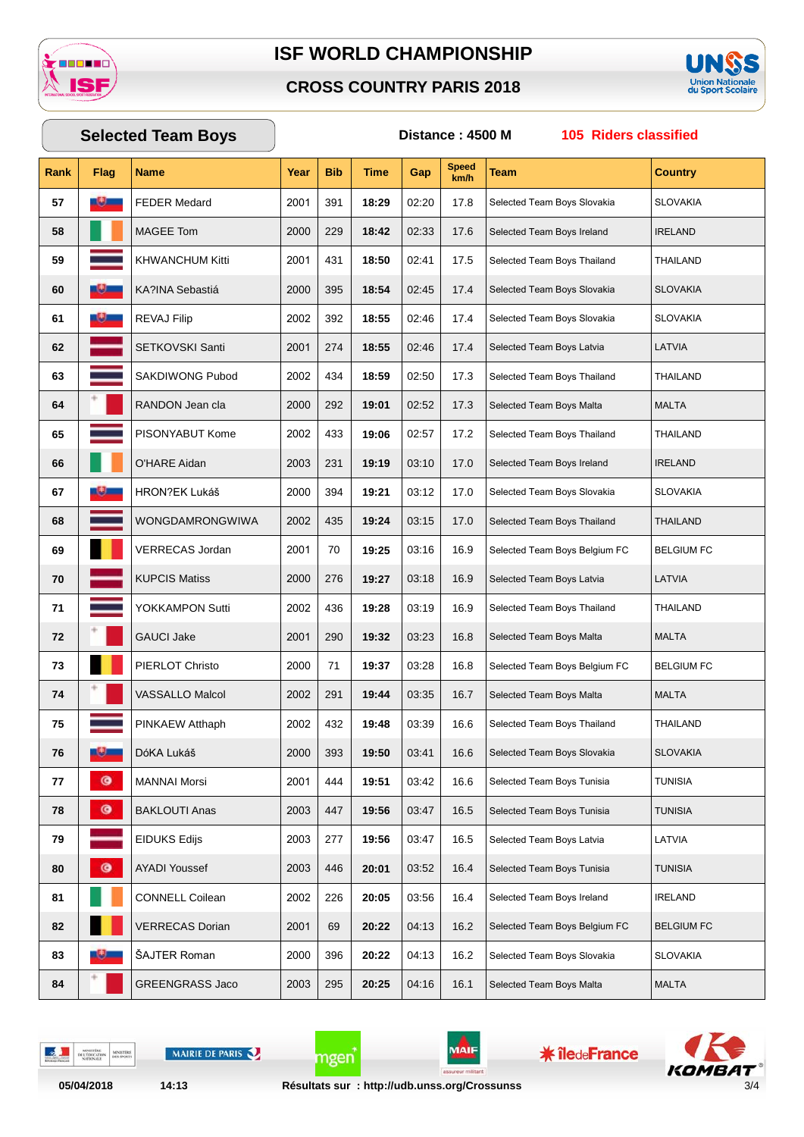

### **CROSS COUNTRY PARIS 2018**



# **Rank Flag Name Year Bib Time Gap Speed km/h Team Country Selected Team Boys Distance : 4500 M 105 Riders classified FEDER Medard** 2001 391 **18:29** 02:20 17.8 Selected Team Boys Slovakia SLOVAKIA MAGEE Tom 2000 229 18:42 02:33 17.6 Selected Team Boys Ireland IRELAND KHWANCHUM Kitti 2001 431 **18:50** 02:41 17.5 Selected Team Boys Thailand THAILAND KA?INA Sebastiá 2000 395 **18:54** 02:45 17.4 Selected Team Boys Slovakia SLOVAKIA REVAJ Filip 2002 392 **18:55** 02:46 17.4 Selected Team Boys Slovakia SLOVAKIA SETKOVSKI Santi 2001 274 | **18:55** | 02:46 | 17.4 Selected Team Boys Latvia | LATVIA SAKDIWONG Pubod 2002 434 **18:59** 02:50 17.3 Selected Team Boys Thailand THAILAND **RANDON Jean cla** 2000 292 **19:01** 02:52 17.3 Selected Team Boys Malta MALTA PISONYABUT Kome 2002 433 19:06 02:57 17.2 Selected Team Boys Thailand THAILAND O'HARE Aidan 2003 231 **19:19** 03:10 17.0 Selected Team Boys Ireland IRELAND **HRON**?EK Lukáš 2000 394 **19:21** 03:12 17.0 Selected Team Boys Slovakia SLOVAKIA WONGDAMRONGWIWA 2002 435 **19:24** 03:15 17.0 Selected Team Boys Thailand THAILAND VERRECAS Jordan 2001 70 **19:25** 03:16 16.9 Selected Team Boys Belgium FC BELGIUM FC KUPCIS Matiss 2000 276 **19:27** 03:18 16.9 Selected Team Boys Latvia LATVIA YOKKAMPON Sutti 2002 436 **19:28** 03:19 16.9 Selected Team Boys Thailand THAILAND GAUCI Jake 2001 290 **19:32** 03:23 16.8 Selected Team Boys Malta MALTA PIERLOT Christo 2000 71 | **19:37** | 03:28 | 16.8 Selected Team Boys Belgium FC | BELGIUM FC VASSALLO Malcol 2002 291 **19:44** 03:35 16.7 Selected Team Boys Malta MALTA PINKAEW Atthaph 2002 432 **19:48** 03:39 16.6 Selected Team Boys Thailand THAILAND **Dóka Lukáš** 2000 393 **19:50** 03:41 16.6 Selected Team Boys Slovakia SLOVAKIA MANNAI Morsi 2001 444 **19:51** 03:42 16.6 Selected Team Boys Tunisia TUNISIA **B**AKLOUTI Anas 2003 447 **19:56** 03:47 16.5 Selected Team Boys Tunisia TUNISIA EIDUKS Edijs 2003 277 | **19:56** | 03:47 | 16.5 Selected Team Boys Latvia | LATVIA AYADI Youssef 2003 446 **20:01** 03:52 16.4 Selected Team Boys Tunisia TUNISIA CONNELL Coilean 2002 226 **20:05** 03:56 16.4 Selected Team Boys Ireland IRELAND VERRECAS Dorian 2001 69 **20:22** 04:13 16.2 Selected Team Boys Belgium FC BELGIUM FC **SAJTER Roman 2000 396 20:22** 04:13 16.2 Selected Team Boys Slovakia SLOVAKIA GREENGRASS Jaco 2003 295 20:25 04:16 16.1 Selected Team Boys Malta MALTA

DELTE

MAIRIE DE PARIS

**05/04/2018 14:13 Résultats sur : http://udb.unss.org/Crossunss** 3/4

mgen

MAİI

**\* îledeFrance**